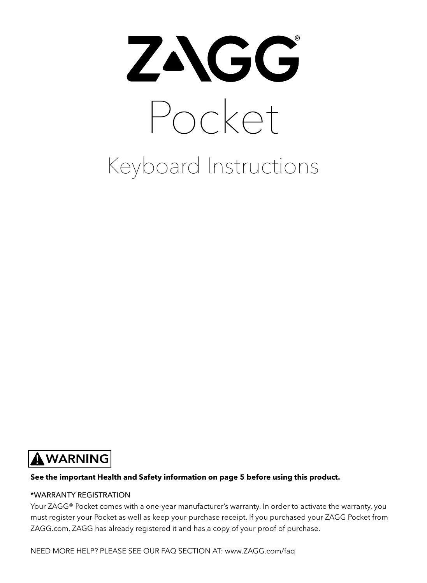

## **AWARNING**

#### **See the important Health and Safety information on page 5 before using this product.**

#### \*WARRANTY REGISTRATION

Your ZAGG® Pocket comes with a one-year manufacturer's warranty. In order to activate the warranty, you must register your Pocket as well as keep your purchase receipt. If you purchased your ZAGG Pocket from ZAGG.com, ZAGG has already registered it and has a copy of your proof of purchase.

NEED MORE HELP? PLEASE SEE OUR FAQ SECTION AT: www.ZAGG.com/faq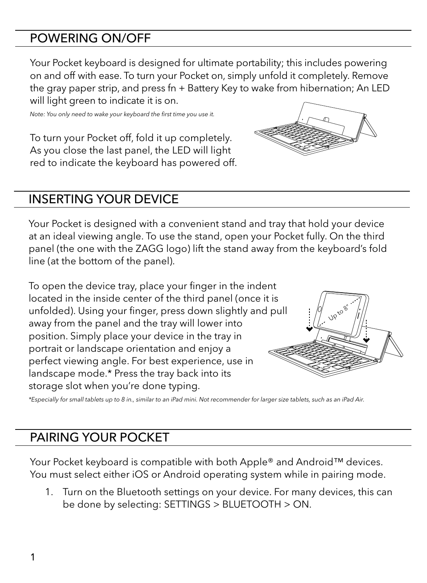#### POWERING ON/OFF

Your Pocket keyboard is designed for ultimate portability; this includes powering on and off with ease. To turn your Pocket on, simply unfold it completely. Remove the gray paper strip, and press fn + Battery Key to wake from hibernation; An LED will light green to indicate it is on.

*Note: You only need to wake your keyboard the first time you use it.*

To turn your Pocket off, fold it up completely. As you close the last panel, the LED will light red to indicate the keyboard has powered off.

#### INSERTING YOUR DEVICE

Your Pocket is designed with a convenient stand and tray that hold your device at an ideal viewing angle. To use the stand, open your Pocket fully. On the third panel (the one with the ZAGG logo) lift the stand away from the keyboard's fold line (at the bottom of the panel).

To open the device tray, place your finger in the indent located in the inside center of the third panel (once it is unfolded). Using your finger, press down slightly and pull away from the panel and the tray will lower into position. Simply place your device in the tray in portrait or landscape orientation and enjoy a perfect viewing angle. For best experience, use in landscape mode.\* Press the tray back into its storage slot when you're done typing.

*\*Especially for small tablets up to 8 in., similar to an iPad mini. Not recommender for larger size tablets, such as an iPad Air.*

#### PAIRING YOUR POCKET

Your Pocket keyboard is compatible with both Apple® and Android™ devices. You must select either iOS or Android operating system while in pairing mode.

 1. Turn on the Bluetooth settings on your device. For many devices, this can be done by selecting: SETTINGS > BLUETOOTH > ON.



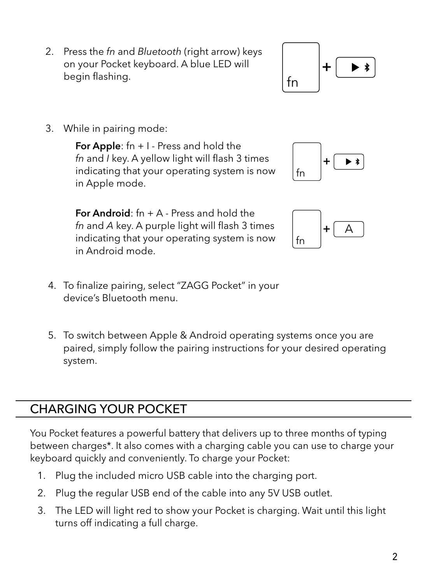- 2. Press the *fn* and *Bluetooth* (right arrow) keys on your Pocket keyboard. A blue LED will begin flashing.
- 3. While in pairing mode:

For Apple:  $fn + 1$  - Press and hold the *fn* and *I* key. A yellow light will flash 3 times indicating that your operating system is now in Apple mode.

For Android:  $fn + A$  - Press and hold the *fn* and *A* key. A purple light will flash 3 times indicating that your operating system is now in Android mode.

- 4. To finalize pairing, select "ZAGG Pocket" in your device's Bluetooth menu.
- 5. To switch between Apple & Android operating systems once you are paired, simply follow the pairing instructions for your desired operating system.

#### CHARGING YOUR POCKET

You Pocket features a powerful battery that delivers up to three months of typing between charges\*. It also comes with a charging cable you can use to charge your keyboard quickly and conveniently. To charge your Pocket:

- 1. Plug the included micro USB cable into the charging port.
- 2. Plug the regular USB end of the cable into any 5V USB outlet.
- 3. The LED will light red to show your Pocket is charging. Wait until this light turns off indicating a full charge.

## fn +





fn

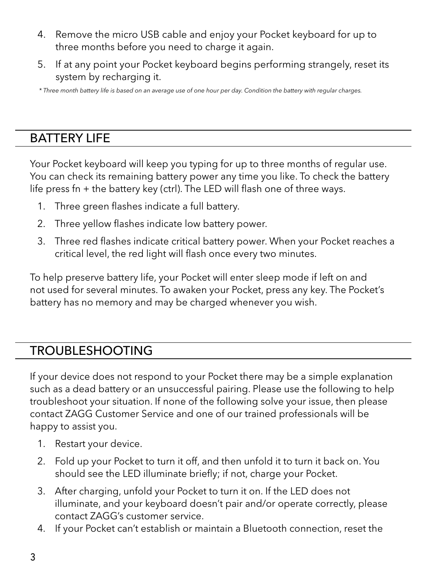- 4. Remove the micro USB cable and enjoy your Pocket keyboard for up to three months before you need to charge it again.
- 5. If at any point your Pocket keyboard begins performing strangely, reset its system by recharging it.

 *\* Three month battery life is based on an average use of one hour per day. Condition the battery with regular charges.*

#### BATTERY LIFE

Your Pocket keyboard will keep you typing for up to three months of regular use. You can check its remaining battery power any time you like. To check the battery life press fn + the battery key (ctrl). The LED will flash one of three ways.

- 1. Three green flashes indicate a full battery.
- 2. Three yellow flashes indicate low battery power.
- 3. Three red flashes indicate critical battery power. When your Pocket reaches a critical level, the red light will flash once every two minutes.

To help preserve battery life, your Pocket will enter sleep mode if left on and not used for several minutes. To awaken your Pocket, press any key. The Pocket's battery has no memory and may be charged whenever you wish.

#### TROUBLESHOOTING

If your device does not respond to your Pocket there may be a simple explanation such as a dead battery or an unsuccessful pairing. Please use the following to help troubleshoot your situation. If none of the following solve your issue, then please contact ZAGG Customer Service and one of our trained professionals will be happy to assist you.

- 1. Restart your device.
- 2. Fold up your Pocket to turn it off, and then unfold it to turn it back on. You should see the LED illuminate briefly; if not, charge your Pocket.
- 3. After charging, unfold your Pocket to turn it on. If the LED does not illuminate, and your keyboard doesn't pair and/or operate correctly, please contact ZAGG's customer service.
- 4. If your Pocket can't establish or maintain a Bluetooth connection, reset the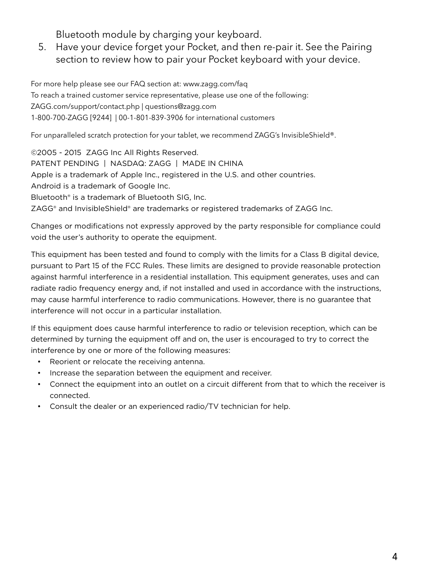Bluetooth module by charging your keyboard.

 5. Have your device forget your Pocket, and then re-pair it. See the Pairing section to review how to pair your Pocket keyboard with your device.

For more help please see our FAQ section at: www.zagg.com/faq To reach a trained customer service representative, please use one of the following: ZAGG.com/support/contact.php | questions@zagg.com 1-800-700-ZAGG [9244] | 00-1-801-839-3906 for international customers

For unparalleled scratch protection for your tablet, we recommend ZAGG's InvisibleShield®.

©2005 - 2015 ZAGG Inc All Rights Reserved. PATENT PENDING | NASDAQ: ZAGG | MADE IN CHINA Apple is a trademark of Apple Inc., registered in the U.S. and other countries. Android is a trademark of Google Inc. Bluetooth® is a trademark of Bluetooth SIG, Inc. ZAGG® and InvisibleShield® are trademarks or registered trademarks of ZAGG Inc.

Changes or modifications not expressly approved by the party responsible for compliance could void the user's authority to operate the equipment.

This equipment has been tested and found to comply with the limits for a Class B digital device, pursuant to Part 15 of the FCC Rules. These limits are designed to provide reasonable protection against harmful interference in a residential installation. This equipment generates, uses and can radiate radio frequency energy and, if not installed and used in accordance with the instructions, may cause harmful interference to radio communications. However, there is no guarantee that interference will not occur in a particular installation.

If this equipment does cause harmful interference to radio or television reception, which can be determined by turning the equipment off and on, the user is encouraged to try to correct the interference by one or more of the following measures:

- Reorient or relocate the receiving antenna.
- Increase the separation between the equipment and receiver.
- Connect the equipment into an outlet on a circuit different from that to which the receiver is connected.
- Consult the dealer or an experienced radio/TV technician for help.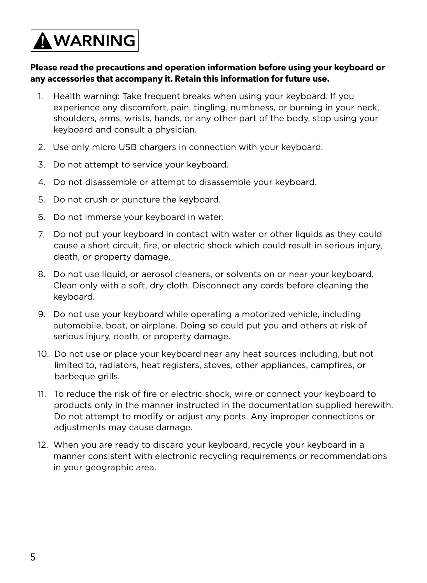# A WARNING

#### **Please read the precautions and operation information before using your keyboard or any accessories that accompany it. Retain this information for future use.**

- 1. Health warning: Take frequent breaks when using your keyboard. If you experience any discomfort, pain, tingling, numbness, or burning in your neck, shoulders, arms, wrists, hands, or any other part of the body, stop using your keyboard and consult a physician.
- 2. Use only micro USB chargers in connection with your keyboard.
- 3. Do not attempt to service your keyboard.
- 4. Do not disassemble or attempt to disassemble your keyboard.
- 5. Do not crush or puncture the keyboard.
- 6. Do not immerse your keyboard in water.
- 7. Do not put your keyboard in contact with water or other liquids as they could cause a short circuit, fire, or electric shock which could result in serious injury, death, or property damage.
- 8. Do not use liquid, or aerosol cleaners, or solvents on or near your keyboard. Clean only with a soft, dry cloth. Disconnect any cords before cleaning the keyboard.
- 9. Do not use your keyboard while operating a motorized vehicle, including automobile, boat, or airplane. Doing so could put you and others at risk of serious injury, death, or property damage.
- 10. Do not use or place your keyboard near any heat sources including, but not limited to, radiators, heat registers, stoves, other appliances, campfires, or barbeque grills.
- 11. To reduce the risk of fire or electric shock, wire or connect your keyboard to products only in the manner instructed in the documentation supplied herewith. Do not attempt to modify or adjust any ports. Any improper connections or adjustments may cause damage.
- 12. When you are ready to discard your keyboard, recycle your keyboard in a manner consistent with electronic recycling requirements or recommendations in your geographic area.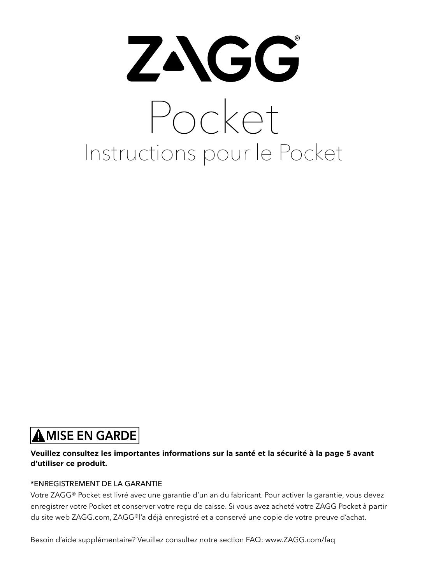# ZAGG Pocket Instructions pour le Pocket

## **AMISE EN GARDE**

#### **Veuillez consultez les importantes informations sur la santé et la sécurité à la page 5 avant d'utiliser ce produit.**

#### \*ENREGISTREMENT DE LA GARANTIE

Votre ZAGG® Pocket est livré avec une garantie d'un an du fabricant. Pour activer la garantie, vous devez enregistrer votre Pocket et conserver votre reçu de caisse. Si vous avez acheté votre ZAGG Pocket à partir du site web ZAGG.com, ZAGG®l'a déjà enregistré et a conservé une copie de votre preuve d'achat.

Besoin d'aide supplémentaire? Veuillez consultez notre section FAQ: www.ZAGG.com/faq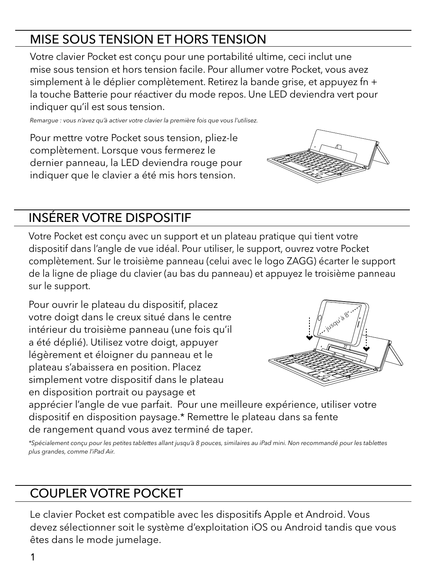## MISE SOUS TENSION ET HORS TENSION

Votre clavier Pocket est conçu pour une portabilité ultime, ceci inclut une mise sous tension et hors tension facile. Pour allumer votre Pocket, vous avez simplement à le déplier complètement. Retirez la bande grise, et appuyez fn + la touche Batterie pour réactiver du mode repos. Une LED deviendra vert pour indiquer qu'il est sous tension.

*Remargue : vous n'avez qu'à activer votre clavier la première fois que vous l'utilisez.*

Pour mettre votre Pocket sous tension, pliez-le complètement. Lorsque vous fermerez le dernier panneau, la LED deviendra rouge pour indiquer que le clavier a été mis hors tension.

## INSÉRER VOTRE DISPOSITIF

Votre Pocket est conçu avec un support et un plateau pratique qui tient votre dispositif dans l'angle de vue idéal. Pour utiliser, le support, ouvrez votre Pocket complètement. Sur le troisième panneau (celui avec le logo ZAGG) écarter le support de la ligne de pliage du clavier (au bas du panneau) et appuyez le troisième panneau sur le support.

Pour ouvrir le plateau du dispositif, placez votre doigt dans le creux situé dans le centre intérieur du troisième panneau (une fois qu'il a été déplié). Utilisez votre doigt, appuyer légèrement et éloigner du panneau et le plateau s'abaissera en position. Placez simplement votre dispositif dans le plateau en disposition portrait ou paysage et



apprécier l'angle de vue parfait. Pour une meilleure expérience, utiliser votre dispositif en disposition paysage.\* Remettre le plateau dans sa fente de rangement quand vous avez terminé de taper.

*\*Spécialement conçu pour les petites tablettes allant jusqu'à 8 pouces, similaires au iPad mini. Non recommandé pour les tablettes plus grandes, comme l'iPad Air.*

### COUPLER VOTRE POCKET

Le clavier Pocket est compatible avec les dispositifs Apple et Android. Vous devez sélectionner soit le système d'exploitation iOS ou Android tandis que vous êtes dans le mode jumelage.

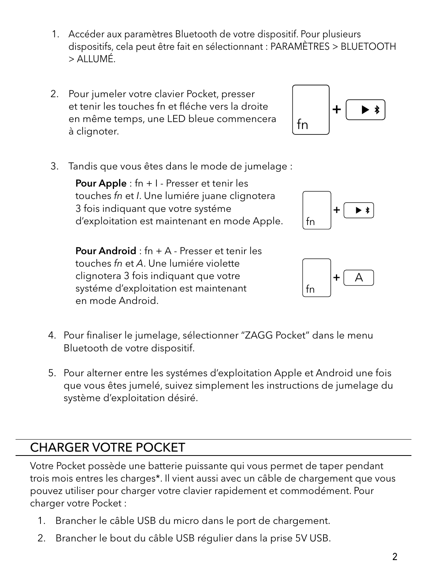- 1. Accéder aux paramètres Bluetooth de votre dispositif. Pour plusieurs dispositifs, cela peut être fait en sélectionnant : PARAMÈTRES > BLUETOOTH > ALLUMÉ.
- 2. Pour jumeler votre clavier Pocket, presser et tenir les touches fn et fléche vers la droite en même temps, une LED bleue commencera à clignoter.



3. Tandis que vous êtes dans le mode de jumelage :

Pour Apple : fn + I - Presser et tenir les touches *fn* et *I*. Une lumiére juane clignotera 3 fois indiquant que votre systéme d'exploitation est maintenant en mode Apple.

 Pour Android : fn + A - Presser et tenir les touches *fn* et *A*. Une lumiére violette clignotera 3 fois indiquant que votre systéme d'exploitation est maintenant en mode Android.





- 4. Pour finaliser le jumelage, sélectionner "ZAGG Pocket" dans le menu Bluetooth de votre dispositif.
- 5. Pour alterner entre les systémes d'exploitation Apple et Android une fois que vous êtes jumelé, suivez simplement les instructions de jumelage du système d'exploitation désiré.

#### CHARGER VOTRE POCKET

Votre Pocket possède une batterie puissante qui vous permet de taper pendant trois mois entres les charges\*. Il vient aussi avec un câble de chargement que vous pouvez utiliser pour charger votre clavier rapidement et commodément. Pour charger votre Pocket :

- 1. Brancher le câble USB du micro dans le port de chargement.
- 2. Brancher le bout du câble USB régulier dans la prise 5V USB.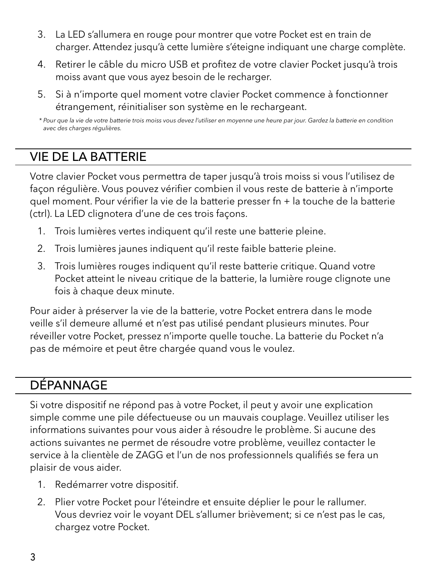- 3. La LED s'allumera en rouge pour montrer que votre Pocket est en train de charger. Attendez jusqu'à cette lumière s'éteigne indiquant une charge complète.
- 4. Retirer le câble du micro USB et profitez de votre clavier Pocket jusqu'à trois moiss avant que vous ayez besoin de le recharger.
- 5. Si à n'importe quel moment votre clavier Pocket commence à fonctionner étrangement, réinitialiser son système en le rechargeant.

#### VIE DE LA BATTERIE

Votre clavier Pocket vous permettra de taper jusqu'à trois moiss si vous l'utilisez de façon régulière. Vous pouvez vérifier combien il vous reste de batterie à n'importe quel moment. Pour vérifier la vie de la batterie presser fn + la touche de la batterie (ctrl). La LED clignotera d'une de ces trois façons.

- 1. Trois lumières vertes indiquent qu'il reste une batterie pleine.
- 2. Trois lumières jaunes indiquent qu'il reste faible batterie pleine.
- 3. Trois lumières rouges indiquent qu'il reste batterie critique. Quand votre Pocket atteint le niveau critique de la batterie, la lumière rouge clignote une fois à chaque deux minute.

Pour aider à préserver la vie de la batterie, votre Pocket entrera dans le mode veille s'il demeure allumé et n'est pas utilisé pendant plusieurs minutes. Pour réveiller votre Pocket, pressez n'importe quelle touche. La batterie du Pocket n'a pas de mémoire et peut être chargée quand vous le voulez.

#### DÉPANNAGE

Si votre dispositif ne répond pas à votre Pocket, il peut y avoir une explication simple comme une pile défectueuse ou un mauvais couplage. Veuillez utiliser les informations suivantes pour vous aider à résoudre le problème. Si aucune des actions suivantes ne permet de résoudre votre problème, veuillez contacter le service à la clientèle de ZAGG et l'un de nos professionnels qualifiés se fera un plaisir de vous aider.

- 1. Redémarrer votre dispositif.
- 2. Plier votre Pocket pour l'éteindre et ensuite déplier le pour le rallumer. Vous devriez voir le voyant DEL s'allumer brièvement; si ce n'est pas le cas, chargez votre Pocket.

 *<sup>\*</sup> Pour que la vie de votre batterie trois moiss vous devez l'utiliser en moyenne une heure par jour. Gardez la batterie en condition avec des charges régulières.*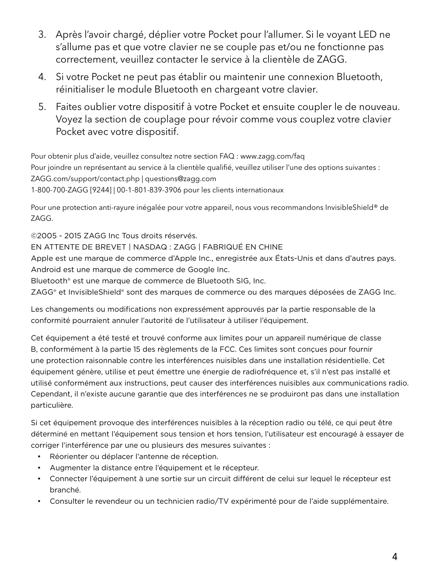- 3. Après l'avoir chargé, déplier votre Pocket pour l'allumer. Si le voyant LED ne s'allume pas et que votre clavier ne se couple pas et/ou ne fonctionne pas correctement, veuillez contacter le service à la clientèle de ZAGG.
- 4. Si votre Pocket ne peut pas établir ou maintenir une connexion Bluetooth, réinitialiser le module Bluetooth en chargeant votre clavier.
- 5. Faites oublier votre dispositif à votre Pocket et ensuite coupler le de nouveau. Voyez la section de couplage pour révoir comme vous couplez votre clavier Pocket avec votre dispositif.

Pour obtenir plus d'aide, veuillez consultez notre section FAQ : www.zagg.com/faq Pour joindre un représentant au service à la clientèle qualifié, veuillez utiliser l'une des options suivantes : ZAGG.com/support/contact.php | questions@zagg.com 1-800-700-ZAGG [9244] | 00-1-801-839-3906 pour les clients internationaux

Pour une protection anti-rayure inégalée pour votre appareil, nous vous recommandons InvisibleShield® de ZAGG.

©2005 - 2015 ZAGG Inc Tous droits réservés. EN ATTENTE DE BREVET | NASDAQ : ZAGG | FABRIQUÉ EN CHINE Apple est une marque de commerce d'Apple Inc., enregistrée aux États-Unis et dans d'autres pays. Android est une marque de commerce de Google Inc. Bluetooth® est une marque de commerce de Bluetooth SIG, Inc.

ZAGG® et InvisibleShield® sont des marques de commerce ou des marques déposées de ZAGG Inc.

Les changements ou modifications non expressément approuvés par la partie responsable de la conformité pourraient annuler l'autorité de l'utilisateur à utiliser l'équipement.

Cet équipement a été testé et trouvé conforme aux limites pour un appareil numérique de classe B, conformément à la partie 15 des règlements de la FCC. Ces limites sont conçues pour fournir une protection raisonnable contre les interférences nuisibles dans une installation résidentielle. Cet équipement génère, utilise et peut émettre une énergie de radiofréquence et, s'il n'est pas installé et utilisé conformément aux instructions, peut causer des interférences nuisibles aux communications radio. Cependant, il n'existe aucune garantie que des interférences ne se produiront pas dans une installation particulière.

Si cet équipement provoque des interférences nuisibles à la réception radio ou télé, ce qui peut être déterminé en mettant l'équipement sous tension et hors tension, l'utilisateur est encouragé à essayer de corriger l'interférence par une ou plusieurs des mesures suivantes :

- Réorienter ou déplacer l'antenne de réception.
- Augmenter la distance entre l'équipement et le récepteur.
- Connecter l'équipement à une sortie sur un circuit différent de celui sur lequel le récepteur est branché.
- Consulter le revendeur ou un technicien radio/TV expérimenté pour de l'aide supplémentaire.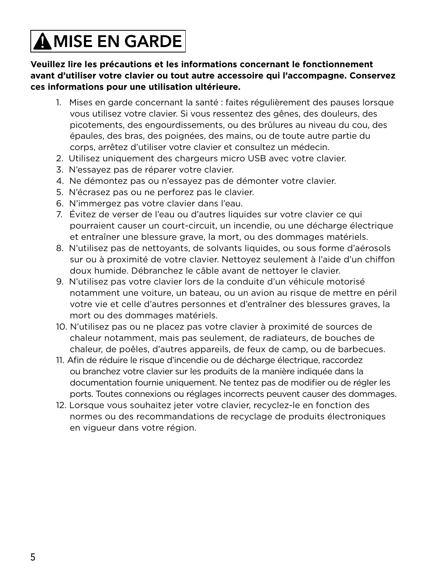# $\bigtriangleup$  MISE EN GARDE

**Veuillez lire les précautions et les informations concernant le fonctionnement avant d'utiliser votre clavier ou tout autre accessoire qui l'accompagne. Conservez ces informations pour une utilisation ultérieure.**

- 1. Mises en garde concernant la santé : faites régulièrement des pauses lorsque vous utilisez votre clavier. Si vous ressentez des gênes, des douleurs, des picotements, des engourdissements, ou des brûlures au niveau du cou, des épaules, des bras, des poignées, des mains, ou de toute autre partie du corps, arrêtez d'utiliser votre clavier et consultez un médecin.
- 2. Utilisez uniquement des chargeurs micro USB avec votre clavier.
- 3. N'essayez pas de réparer votre clavier.
- 4. Ne démontez pas ou n'essayez pas de démonter votre clavier.
- 5. N'écrasez pas ou ne perforez pas le clavier.
- 6. N'immergez pas votre clavier dans l'eau.
- 7. Évitez de verser de l'eau ou d'autres liquides sur votre clavier ce qui pourraient causer un court-circuit, un incendie, ou une décharge électrique et entraîner une blessure grave, la mort, ou des dommages matériels.
- 8. N'utilisez pas de nettoyants, de solvants liquides, ou sous forme d'aérosols sur ou à proximité de votre clavier. Nettoyez seulement à l'aide d'un chiffon doux humide. Débranchez le câble avant de nettoyer le clavier.
- 9. N'utilisez pas votre clavier lors de la conduite d'un véhicule motorisé notamment une voiture, un bateau, ou un avion au risque de mettre en péril votre vie et celle d'autres personnes et d'entraîner des blessures graves, la mort ou des dommages matériels.
- 10. N'utilisez pas ou ne placez pas votre clavier à proximité de sources de chaleur notamment, mais pas seulement, de radiateurs, de bouches de chaleur, de poêles, d'autres appareils, de feux de camp, ou de barbecues.
- 11. Afin de réduire le risque d'incendie ou de décharge électrique, raccordez ou branchez votre clavier sur les produits de la manière indiquée dans la documentation fournie uniquement. Ne tentez pas de modifier ou de régler les ports. Toutes connexions ou réglages incorrects peuvent causer des dommages.
- 12. Lorsque vous souhaitez jeter votre clavier, recyclez-le en fonction des normes ou des recommandations de recyclage de produits électroniques en vigueur dans votre région.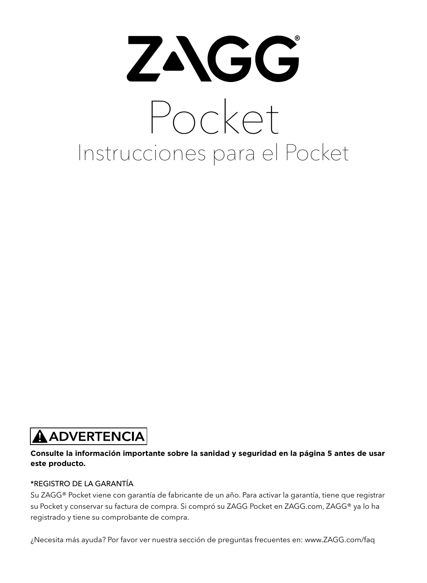# ZAGG Pocket Instrucciones para el Pocket

## **A ADVERTENCIA**

#### **Consulte la información importante sobre la sanidad y seguridad en la página 5 antes de usar este producto.**

#### \*REGISTRO DE LA GARANTÍA

Su ZAGG® Pocket viene con garantía de fabricante de un año. Para activar la garantía, tiene que registrar su Pocket y conservar su factura de compra. Si compró su ZAGG Pocket en ZAGG.com, ZAGG® ya lo ha registrado y tiene su comprobante de compra.

¿Necesita más ayuda? Por favor ver nuestra sección de preguntas frecuentes en: www.ZAGG.com/faq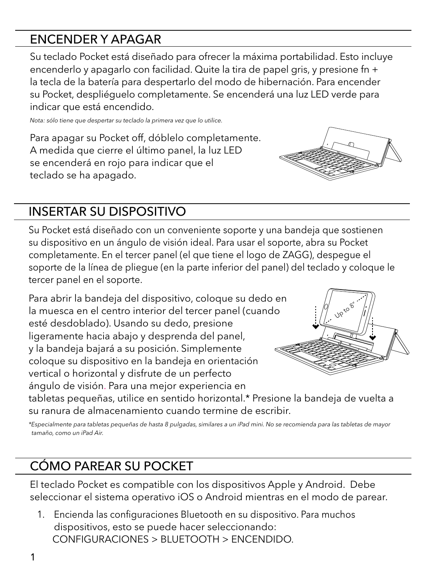#### ENCENDER Y APAGAR

Su teclado Pocket está diseñado para ofrecer la máxima portabilidad. Esto incluye encenderlo y apagarlo con facilidad. Quite la tira de papel gris, y presione fn + la tecla de la batería para despertarlo del modo de hibernación. Para encender su Pocket, despliéguelo completamente. Se encenderá una luz LED verde para indicar que está encendido.

*Nota: sólo tiene que despertar su teclado la primera vez que lo utilice.*

Para apagar su Pocket off, dóblelo completamente. A medida que cierre el último panel, la luz LED se encenderá en rojo para indicar que el teclado se ha apagado.

### INSERTAR SU DISPOSITIVO

Su Pocket está diseñado con un conveniente soporte y una bandeja que sostienen su dispositivo en un ángulo de visión ideal. Para usar el soporte, abra su Pocket completamente. En el tercer panel (el que tiene el logo de ZAGG), despegue el soporte de la línea de pliegue (en la parte inferior del panel) del teclado y coloque le tercer panel en el soporte.

Para abrir la bandeja del dispositivo, coloque su dedo en la muesca en el centro interior del tercer panel (cuando esté desdoblado). Usando su dedo, presione ligeramente hacia abajo y desprenda del panel, y la bandeja bajará a su posición. Simplemente coloque su dispositivo en la bandeja en orientación vertical o horizontal y disfrute de un perfecto ángulo de visión. Para una mejor experiencia en



tabletas pequeñas, utilice en sentido horizontal.\* Presione la bandeja de vuelta a su ranura de almacenamiento cuando termine de escribir.

*\*Especialmente para tabletas pequeñas de hasta 8 pulgadas, similares a un iPad mini. No se recomienda para las tabletas de mayor tamaño, como un iPad Air.*

## CÓMO PAREAR SU POCKET

El teclado Pocket es compatible con los dispositivos Apple y Android. Debe seleccionar el sistema operativo iOS o Android mientras en el modo de parear.

 1. Encienda las configuraciones Bluetooth en su dispositivo. Para muchos dispositivos, esto se puede hacer seleccionando: CONFIGURACIONES > BLUETOOTH > ENCENDIDO.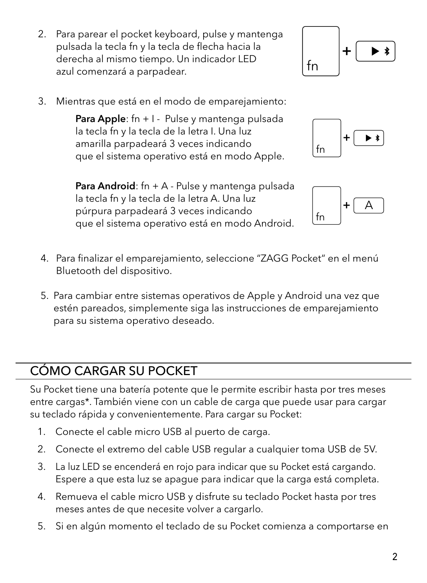- 2. Para parear el pocket keyboard, pulse y mantenga pulsada la tecla fn y la tecla de flecha hacia la derecha al mismo tiempo. Un indicador LED azul comenzará a parpadear.
- 3. Mientras que está en el modo de emparejamiento:

Para Apple: fn +  $I -$  Pulse y mantenga pulsada la tecla fn y la tecla de la letra I. Una luz amarilla parpadeará 3 veces indicando que el sistema operativo está en modo Apple.

**Para Android**: fn + A - Pulse y mantenga pulsada la tecla fn y la tecla de la letra A. Una luz púrpura parpadeará 3 veces indicando que el sistema operativo está en modo Android.

- 4. Para finalizar el emparejamiento, seleccione "ZAGG Pocket" en el menú Bluetooth del dispositivo.
- 5. Para cambiar entre sistemas operativos de Apple y Android una vez que estén pareados, simplemente siga las instrucciones de emparejamiento para su sistema operativo deseado.

## CÓMO CARGAR SU POCKET

Su Pocket tiene una batería potente que le permite escribir hasta por tres meses entre cargas\*. También viene con un cable de carga que puede usar para cargar su teclado rápida y convenientemente. Para cargar su Pocket:

- 1. Conecte el cable micro USB al puerto de carga.
- 2. Conecte el extremo del cable USB regular a cualquier toma USB de 5V.
- 3. La luz LED se encenderá en rojo para indicar que su Pocket está cargando. Espere a que esta luz se apague para indicar que la carga está completa.
- 4. Remueva el cable micro USB y disfrute su teclado Pocket hasta por tres meses antes de que necesite volver a cargarlo.
- 5. Si en algún momento el teclado de su Pocket comienza a comportarse en





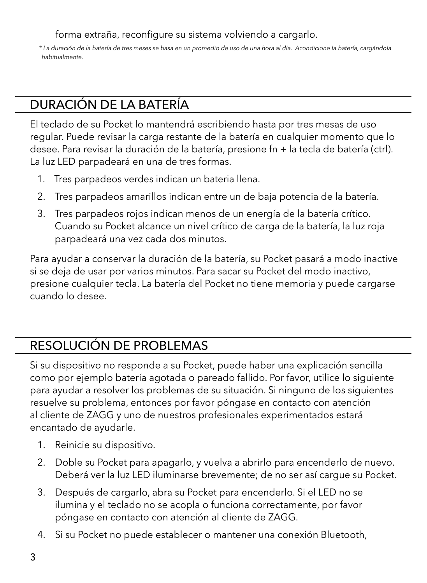forma extraña, reconfigure su sistema volviendo a cargarlo.

 *\* La duración de la batería de tres meses se basa en un promedio de uso de una hora al día. Acondicione la batería, cargándola habitualmente.*

#### DURACIÓN DE LA BATERÍA

El teclado de su Pocket lo mantendrá escribiendo hasta por tres mesas de uso regular. Puede revisar la carga restante de la batería en cualquier momento que lo desee. Para revisar la duración de la batería, presione fn + la tecla de batería (ctrl). La luz LED parpadeará en una de tres formas.

- 1. Tres parpadeos verdes indican un bateria llena.
- 2. Tres parpadeos amarillos indican entre un de baja potencia de la batería.
- 3. Tres parpadeos rojos indican menos de un energía de la batería crítico. Cuando su Pocket alcance un nivel crítico de carga de la batería, la luz roja parpadeará una vez cada dos minutos.

Para ayudar a conservar la duración de la batería, su Pocket pasará a modo inactive si se deja de usar por varios minutos. Para sacar su Pocket del modo inactivo, presione cualquier tecla. La batería del Pocket no tiene memoria y puede cargarse cuando lo desee.

#### RESOLUCIÓN DE PROBLEMAS

Si su dispositivo no responde a su Pocket, puede haber una explicación sencilla como por ejemplo batería agotada o pareado fallido. Por favor, utilice lo siguiente para ayudar a resolver los problemas de su situación. Si ninguno de los siguientes resuelve su problema, entonces por favor póngase en contacto con atención al cliente de ZAGG y uno de nuestros profesionales experimentados estará encantado de ayudarle.

- 1. Reinicie su dispositivo.
- 2. Doble su Pocket para apagarlo, y vuelva a abrirlo para encenderlo de nuevo. Deberá ver la luz LED iluminarse brevemente; de no ser así cargue su Pocket.
- 3. Después de cargarlo, abra su Pocket para encenderlo. Si el LED no se ilumina y el teclado no se acopla o funciona correctamente, por favor póngase en contacto con atención al cliente de ZAGG.
- 4. Si su Pocket no puede establecer o mantener una conexión Bluetooth,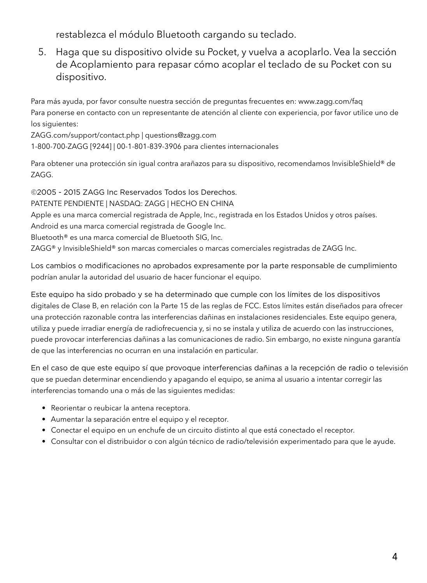restablezca el módulo Bluetooth cargando su teclado.

 5. Haga que su dispositivo olvide su Pocket, y vuelva a acoplarlo. Vea la sección de Acoplamiento para repasar cómo acoplar el teclado de su Pocket con su dispositivo.

Para más ayuda, por favor consulte nuestra sección de preguntas frecuentes en: www.zagg.com/faq Para ponerse en contacto con un representante de atención al cliente con experiencia, por favor utilice uno de los siguientes:

ZAGG.com/support/contact.php | questions@zagg.com

1-800-700-ZAGG [9244] | 00-1-801-839-3906 para clientes internacionales

Para obtener una protección sin igual contra arañazos para su dispositivo, recomendamos InvisibleShield® de ZAGG.

©2005 - 2015 ZAGG Inc Reservados Todos los Derechos.

PATENTE PENDIENTE | NASDAQ: ZAGG | HECHO EN CHINA

Apple es una marca comercial registrada de Apple, Inc., registrada en los Estados Unidos y otros países.

Android es una marca comercial registrada de Google Inc.

Bluetooth® es una marca comercial de Bluetooth SIG, Inc.

ZAGG® y InvisibleShield® son marcas comerciales o marcas comerciales registradas de ZAGG Inc.

Los cambios o modificaciones no aprobados expresamente por la parte responsable de cumplimiento podrían anular la autoridad del usuario de hacer funcionar el equipo.

Este equipo ha sido probado y se ha determinado que cumple con los límites de los dispositivos digitales de Clase B, en relación con la Parte 15 de las reglas de FCC. Estos límites están diseñados para ofrecer una protección razonable contra las interferencias dañinas en instalaciones residenciales. Este equipo genera, utiliza y puede irradiar energía de radiofrecuencia y, si no se instala y utiliza de acuerdo con las instrucciones, puede provocar interferencias dañinas a las comunicaciones de radio. Sin embargo, no existe ninguna garantía de que las interferencias no ocurran en una instalación en particular.

En el caso de que este equipo sí que provoque interferencias dañinas a la recepción de radio o televisión que se puedan determinar encendiendo y apagando el equipo, se anima al usuario a intentar corregir las interferencias tomando una o más de las siguientes medidas:

- Reorientar o reubicar la antena receptora.
- Aumentar la separación entre el equipo y el receptor.
- Conectar el equipo en un enchufe de un circuito distinto al que está conectado el receptor.
- Consultar con el distribuidor o con algún técnico de radio/televisión experimentado para que le ayude.